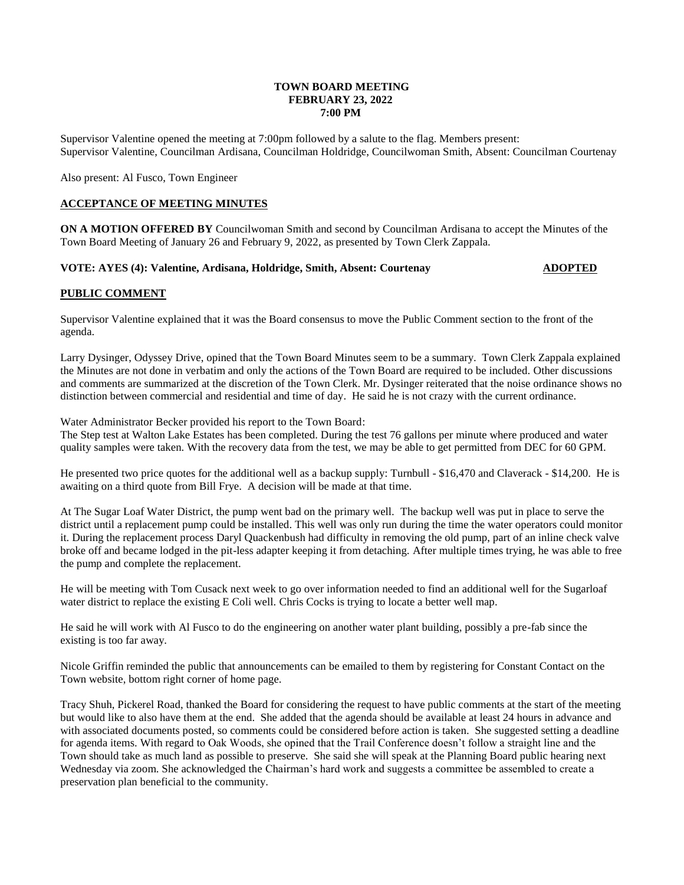### **TOWN BOARD MEETING FEBRUARY 23, 2022 7:00 PM**

Supervisor Valentine opened the meeting at 7:00pm followed by a salute to the flag. Members present: Supervisor Valentine, Councilman Ardisana, Councilman Holdridge, Councilwoman Smith, Absent: Councilman Courtenay

Also present: Al Fusco, Town Engineer

### **ACCEPTANCE OF MEETING MINUTES**

**ON A MOTION OFFERED BY** Councilwoman Smith and second by Councilman Ardisana to accept the Minutes of the Town Board Meeting of January 26 and February 9, 2022, as presented by Town Clerk Zappala.

### **VOTE: AYES (4): Valentine, Ardisana, Holdridge, Smith, Absent: Courtenay <b>ADOPTED**

### **PUBLIC COMMENT**

Supervisor Valentine explained that it was the Board consensus to move the Public Comment section to the front of the agenda.

Larry Dysinger, Odyssey Drive, opined that the Town Board Minutes seem to be a summary. Town Clerk Zappala explained the Minutes are not done in verbatim and only the actions of the Town Board are required to be included. Other discussions and comments are summarized at the discretion of the Town Clerk. Mr. Dysinger reiterated that the noise ordinance shows no distinction between commercial and residential and time of day. He said he is not crazy with the current ordinance.

Water Administrator Becker provided his report to the Town Board:

The Step test at Walton Lake Estates has been completed. During the test 76 gallons per minute where produced and water quality samples were taken. With the recovery data from the test, we may be able to get permitted from DEC for 60 GPM.

He presented two price quotes for the additional well as a backup supply: Turnbull - \$16,470 and Claverack - \$14,200. He is awaiting on a third quote from Bill Frye. A decision will be made at that time.

At The Sugar Loaf Water District, the pump went bad on the primary well. The backup well was put in place to serve the district until a replacement pump could be installed. This well was only run during the time the water operators could monitor it. During the replacement process Daryl Quackenbush had difficulty in removing the old pump, part of an inline check valve broke off and became lodged in the pit-less adapter keeping it from detaching. After multiple times trying, he was able to free the pump and complete the replacement.

He will be meeting with Tom Cusack next week to go over information needed to find an additional well for the Sugarloaf water district to replace the existing E Coli well. Chris Cocks is trying to locate a better well map.

He said he will work with Al Fusco to do the engineering on another water plant building, possibly a pre-fab since the existing is too far away.

Nicole Griffin reminded the public that announcements can be emailed to them by registering for Constant Contact on the Town website, bottom right corner of home page.

Tracy Shuh, Pickerel Road, thanked the Board for considering the request to have public comments at the start of the meeting but would like to also have them at the end. She added that the agenda should be available at least 24 hours in advance and with associated documents posted, so comments could be considered before action is taken. She suggested setting a deadline for agenda items. With regard to Oak Woods, she opined that the Trail Conference doesn't follow a straight line and the Town should take as much land as possible to preserve. She said she will speak at the Planning Board public hearing next Wednesday via zoom. She acknowledged the Chairman's hard work and suggests a committee be assembled to create a preservation plan beneficial to the community.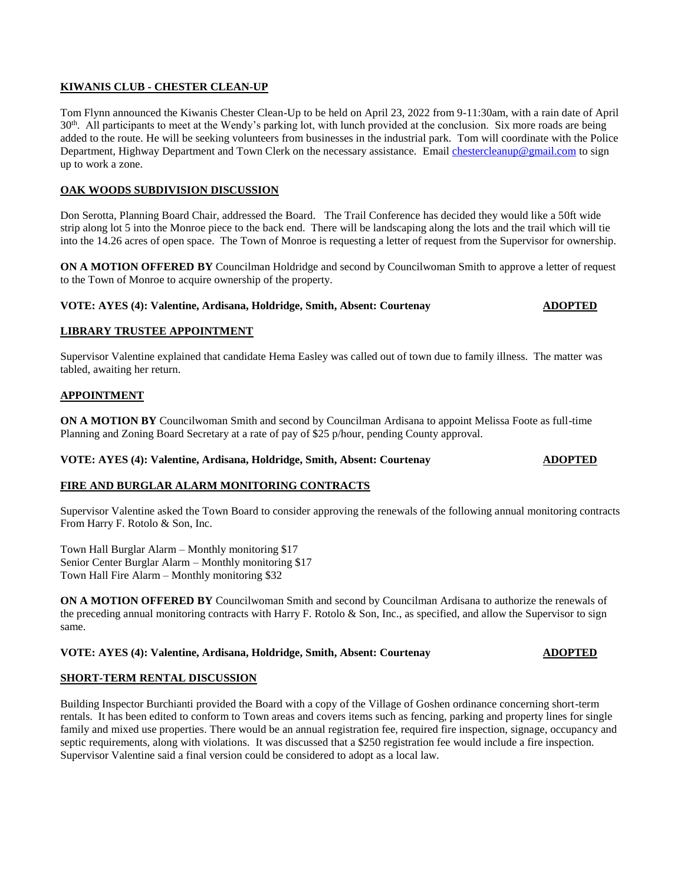# **KIWANIS CLUB - CHESTER CLEAN-UP**

Tom Flynn announced the Kiwanis Chester Clean-Up to be held on April 23, 2022 from 9-11:30am, with a rain date of April 30<sup>th</sup>. All participants to meet at the Wendy's parking lot, with lunch provided at the conclusion. Six more roads are being added to the route. He will be seeking volunteers from businesses in the industrial park. Tom will coordinate with the Police Department, Highway Department and Town Clerk on the necessary assistance. Email [chestercleanup@gmail.com](mailto:chestercleanup@gmail.com) to sign up to work a zone.

# **OAK WOODS SUBDIVISION DISCUSSION**

Don Serotta, Planning Board Chair, addressed the Board. The Trail Conference has decided they would like a 50ft wide strip along lot 5 into the Monroe piece to the back end. There will be landscaping along the lots and the trail which will tie into the 14.26 acres of open space. The Town of Monroe is requesting a letter of request from the Supervisor for ownership.

**ON A MOTION OFFERED BY** Councilman Holdridge and second by Councilwoman Smith to approve a letter of request to the Town of Monroe to acquire ownership of the property.

### **VOTE: AYES (4): Valentine, Ardisana, Holdridge, Smith, Absent: Courtenay <b>ADOPTED**

# **LIBRARY TRUSTEE APPOINTMENT**

Supervisor Valentine explained that candidate Hema Easley was called out of town due to family illness. The matter was tabled, awaiting her return.

# **APPOINTMENT**

**ON A MOTION BY** Councilwoman Smith and second by Councilman Ardisana to appoint Melissa Foote as full-time Planning and Zoning Board Secretary at a rate of pay of \$25 p/hour, pending County approval.

# **VOTE: AYES (4): Valentine, Ardisana, Holdridge, Smith, Absent: Courtenay <b>ADOPTED**

# **FIRE AND BURGLAR ALARM MONITORING CONTRACTS**

Supervisor Valentine asked the Town Board to consider approving the renewals of the following annual monitoring contracts From Harry F. Rotolo & Son, Inc.

Town Hall Burglar Alarm – Monthly monitoring \$17 Senior Center Burglar Alarm – Monthly monitoring \$17 Town Hall Fire Alarm – Monthly monitoring \$32

**ON A MOTION OFFERED BY** Councilwoman Smith and second by Councilman Ardisana to authorize the renewals of the preceding annual monitoring contracts with Harry F. Rotolo & Son, Inc., as specified, and allow the Supervisor to sign same.

# **VOTE: AYES (4): Valentine, Ardisana, Holdridge, Smith, Absent: Courtenay <b>ADOPTED**

# **SHORT-TERM RENTAL DISCUSSION**

Building Inspector Burchianti provided the Board with a copy of the Village of Goshen ordinance concerning short-term rentals. It has been edited to conform to Town areas and covers items such as fencing, parking and property lines for single family and mixed use properties. There would be an annual registration fee, required fire inspection, signage, occupancy and septic requirements, along with violations. It was discussed that a \$250 registration fee would include a fire inspection. Supervisor Valentine said a final version could be considered to adopt as a local law.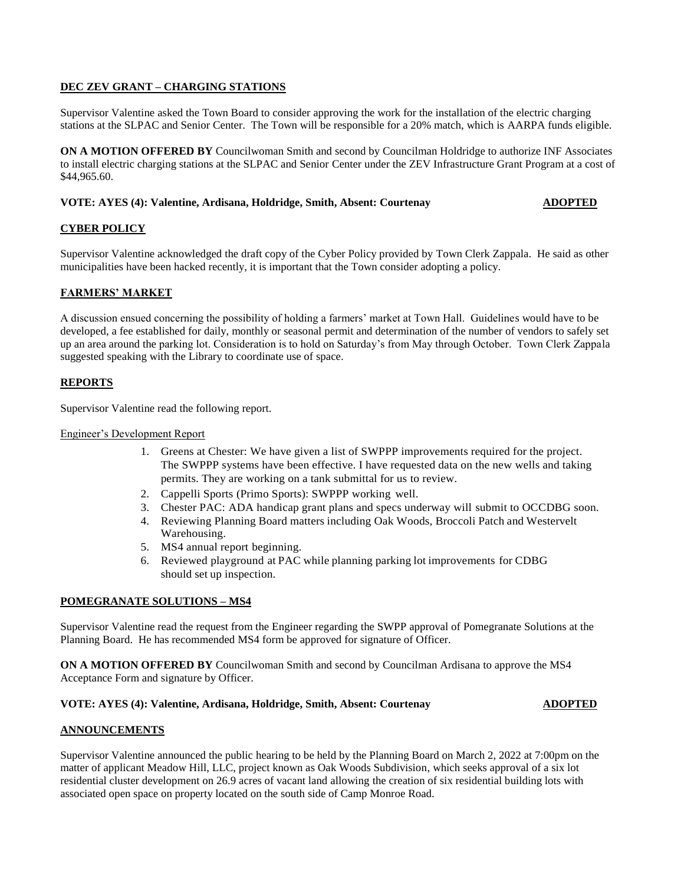# **DEC ZEV GRANT – CHARGING STATIONS**

Supervisor Valentine asked the Town Board to consider approving the work for the installation of the electric charging stations at the SLPAC and Senior Center. The Town will be responsible for a 20% match, which is AARPA funds eligible.

**ON A MOTION OFFERED BY** Councilwoman Smith and second by Councilman Holdridge to authorize INF Associates to install electric charging stations at the SLPAC and Senior Center under the ZEV Infrastructure Grant Program at a cost of \$44,965.60.

# **VOTE: AYES (4): Valentine, Ardisana, Holdridge, Smith, Absent: Courtenay <b>ADOPTED**

# **CYBER POLICY**

Supervisor Valentine acknowledged the draft copy of the Cyber Policy provided by Town Clerk Zappala. He said as other municipalities have been hacked recently, it is important that the Town consider adopting a policy.

### **FARMERS' MARKET**

A discussion ensued concerning the possibility of holding a farmers' market at Town Hall. Guidelines would have to be developed, a fee established for daily, monthly or seasonal permit and determination of the number of vendors to safely set up an area around the parking lot. Consideration is to hold on Saturday's from May through October. Town Clerk Zappala suggested speaking with the Library to coordinate use of space.

### **REPORTS**

Supervisor Valentine read the following report.

### Engineer's Development Report

- 1. Greens at Chester: We have given a list of SWPPP improvements required for the project. The SWPPP systems have been effective. I have requested data on the new wells and taking permits. They are working on a tank submittal for us to review.
- 2. Cappelli Sports (Primo Sports): SWPPP working well.
- 3. Chester PAC: ADA handicap grant plans and specs underway will submit to OCCDBG soon.
- 4. Reviewing Planning Board matters including Oak Woods, Broccoli Patch and Westervelt Warehousing.
- 5. MS4 annual report beginning.
- 6. Reviewed playground at PAC while planning parking lot improvements for CDBG should set up inspection.

### **POMEGRANATE SOLUTIONS – MS4**

Supervisor Valentine read the request from the Engineer regarding the SWPP approval of Pomegranate Solutions at the Planning Board. He has recommended MS4 form be approved for signature of Officer.

**ON A MOTION OFFERED BY** Councilwoman Smith and second by Councilman Ardisana to approve the MS4 Acceptance Form and signature by Officer.

### **VOTE: AYES (4): Valentine, Ardisana, Holdridge, Smith, Absent: Courtenay <b>ADOPTED**

### **ANNOUNCEMENTS**

Supervisor Valentine announced the public hearing to be held by the Planning Board on March 2, 2022 at 7:00pm on the matter of applicant Meadow Hill, LLC, project known as Oak Woods Subdivision, which seeks approval of a six lot residential cluster development on 26.9 acres of vacant land allowing the creation of six residential building lots with associated open space on property located on the south side of Camp Monroe Road.